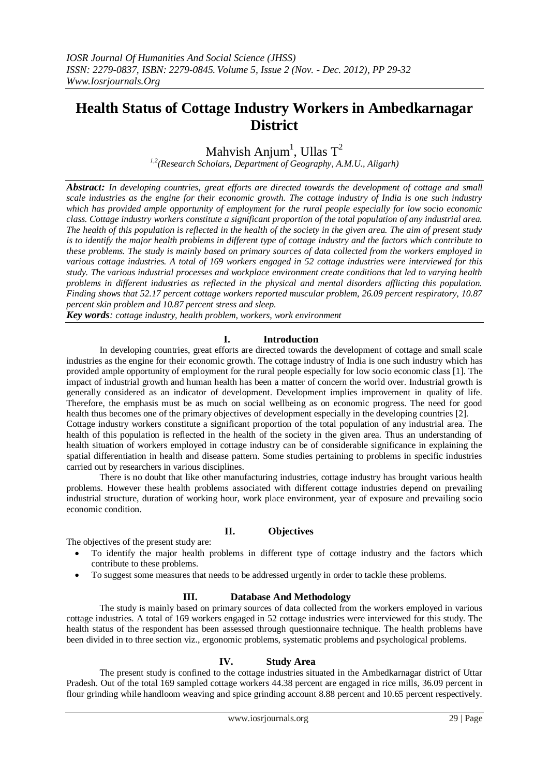## **Health Status of Cottage Industry Workers in Ambedkarnagar District**

Mahvish Anjum<sup>1</sup>, Ullas  $T^2$ 

*1,2(Research Scholars, Department of Geography, A.M.U., Aligarh)*

*Abstract: In developing countries, great efforts are directed towards the development of cottage and small scale industries as the engine for their economic growth. The cottage industry of India is one such industry which has provided ample opportunity of employment for the rural people especially for low socio economic class. Cottage industry workers constitute a significant proportion of the total population of any industrial area. The health of this population is reflected in the health of the society in the given area. The aim of present study is to identify the major health problems in different type of cottage industry and the factors which contribute to these problems. The study is mainly based on primary sources of data collected from the workers employed in various cottage industries. A total of 169 workers engaged in 52 cottage industries were interviewed for this study. The various industrial processes and workplace environment create conditions that led to varying health problems in different industries as reflected in the physical and mental disorders afflicting this population. Finding shows that 52.17 percent cottage workers reported muscular problem, 26.09 percent respiratory, 10.87 percent skin problem and 10.87 percent stress and sleep.*

*Key words: cottage industry, health problem, workers, work environment*

## **I. Introduction**

In developing countries, great efforts are directed towards the development of cottage and small scale industries as the engine for their economic growth. The cottage industry of India is one such industry which has provided ample opportunity of employment for the rural people especially for low socio economic class [1]. The impact of industrial growth and human health has been a matter of concern the world over. Industrial growth is generally considered as an indicator of development. Development implies improvement in quality of life. Therefore, the emphasis must be as much on social wellbeing as on economic progress. The need for good health thus becomes one of the primary objectives of development especially in the developing countries [2]. Cottage industry workers constitute a significant proportion of the total population of any industrial area. The health of this population is reflected in the health of the society in the given area. Thus an understanding of health situation of workers employed in cottage industry can be of considerable significance in explaining the spatial differentiation in health and disease pattern. Some studies pertaining to problems in specific industries carried out by researchers in various disciplines.

 There is no doubt that like other manufacturing industries, cottage industry has brought various health problems. However these health problems associated with different cottage industries depend on prevailing industrial structure, duration of working hour, work place environment, year of exposure and prevailing socio economic condition.

#### **II. Objectives**

The objectives of the present study are:

- To identify the major health problems in different type of cottage industry and the factors which contribute to these problems.
- To suggest some measures that needs to be addressed urgently in order to tackle these problems.

#### **III. Database And Methodology**

The study is mainly based on primary sources of data collected from the workers employed in various cottage industries. A total of 169 workers engaged in 52 cottage industries were interviewed for this study. The health status of the respondent has been assessed through questionnaire technique. The health problems have been divided in to three section viz., ergonomic problems, systematic problems and psychological problems.

#### **IV. Study Area**

The present study is confined to the cottage industries situated in the Ambedkarnagar district of Uttar Pradesh. Out of the total 169 sampled cottage workers 44.38 percent are engaged in rice mills, 36.09 percent in flour grinding while handloom weaving and spice grinding account 8.88 percent and 10.65 percent respectively.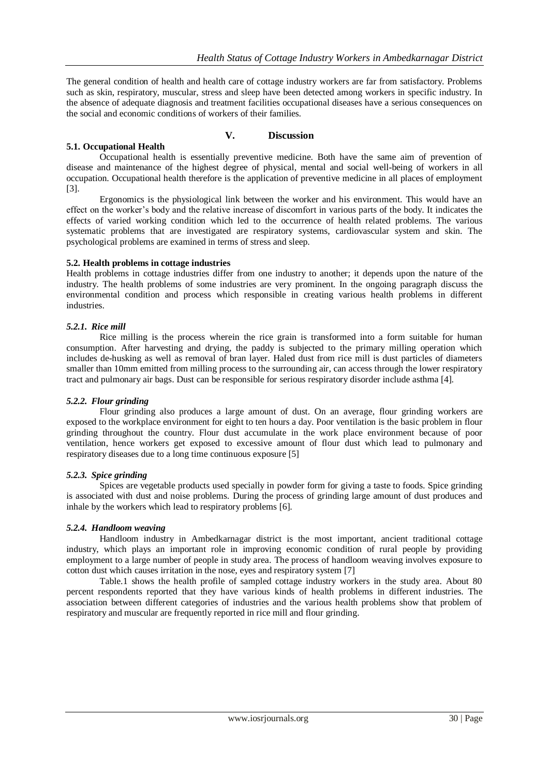The general condition of health and health care of cottage industry workers are far from satisfactory. Problems such as skin, respiratory, muscular, stress and sleep have been detected among workers in specific industry. In the absence of adequate diagnosis and treatment facilities occupational diseases have a serious consequences on the social and economic conditions of workers of their families.

# **5.1. Occupational Health**

### **V. Discussion**

Occupational health is essentially preventive medicine. Both have the same aim of prevention of disease and maintenance of the highest degree of physical, mental and social well-being of workers in all occupation. Occupational health therefore is the application of preventive medicine in all places of employment [3].

 Ergonomics is the physiological link between the worker and his environment. This would have an effect on the worker's body and the relative increase of discomfort in various parts of the body. It indicates the effects of varied working condition which led to the occurrence of health related problems. The various systematic problems that are investigated are respiratory systems, cardiovascular system and skin. The psychological problems are examined in terms of stress and sleep.

## **5.2. Health problems in cottage industries**

Health problems in cottage industries differ from one industry to another; it depends upon the nature of the industry. The health problems of some industries are very prominent. In the ongoing paragraph discuss the environmental condition and process which responsible in creating various health problems in different industries.

#### *5.2.1. Rice mill*

Rice milling is the process wherein the rice grain is transformed into a form suitable for human consumption. After harvesting and drying, the paddy is subjected to the primary milling operation which includes de-husking as well as removal of bran layer. Haled dust from rice mill is dust particles of diameters smaller than 10mm emitted from milling process to the surrounding air, can access through the lower respiratory tract and pulmonary air bags. Dust can be responsible for serious respiratory disorder include asthma [4].

## *5.2.2. Flour grinding*

Flour grinding also produces a large amount of dust. On an average, flour grinding workers are exposed to the workplace environment for eight to ten hours a day. Poor ventilation is the basic problem in flour grinding throughout the country. Flour dust accumulate in the work place environment because of poor ventilation, hence workers get exposed to excessive amount of flour dust which lead to pulmonary and respiratory diseases due to a long time continuous exposure [5]

#### *5.2.3. Spice grinding*

Spices are vegetable products used specially in powder form for giving a taste to foods. Spice grinding is associated with dust and noise problems. During the process of grinding large amount of dust produces and inhale by the workers which lead to respiratory problems [6].

## *5.2.4. Handloom weaving*

Handloom industry in Ambedkarnagar district is the most important, ancient traditional cottage industry, which plays an important role in improving economic condition of rural people by providing employment to a large number of people in study area. The process of handloom weaving involves exposure to cotton dust which causes irritation in the nose, eyes and respiratory system [7]

 Table.1 shows the health profile of sampled cottage industry workers in the study area. About 80 percent respondents reported that they have various kinds of health problems in different industries. The association between different categories of industries and the various health problems show that problem of respiratory and muscular are frequently reported in rice mill and flour grinding.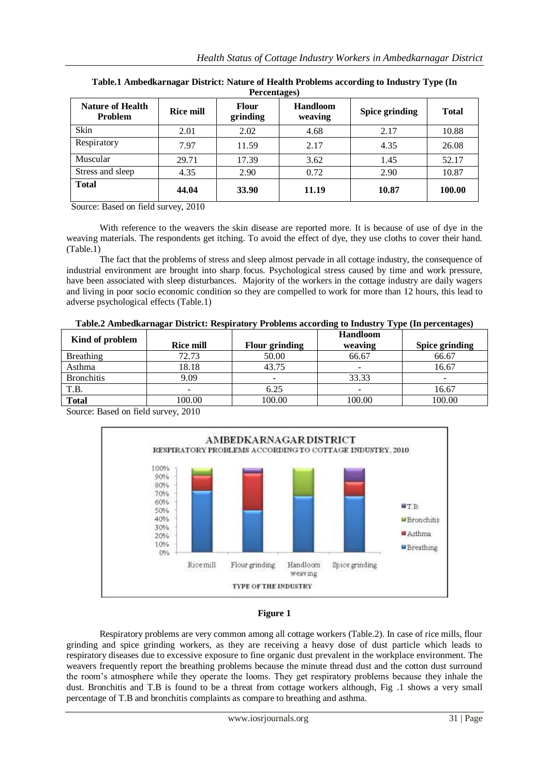| <b>Nature of Health</b><br>Problem | <b>Rice mill</b> | <b>Flour</b><br>grinding | <b>Handloom</b><br>weaving | <b>Spice grinding</b> | <b>Total</b> |
|------------------------------------|------------------|--------------------------|----------------------------|-----------------------|--------------|
| Skin                               | 2.01             | 2.02                     | 4.68                       | 2.17                  | 10.88        |
| Respiratory                        | 7.97             | 11.59                    | 2.17                       | 4.35                  | 26.08        |
| Muscular                           | 29.71            | 17.39                    | 3.62                       | 1.45                  | 52.17        |
| Stress and sleep                   | 4.35             | 2.90                     | 0.72                       | 2.90                  | 10.87        |
| <b>Total</b>                       | 44.04            | 33.90                    | 11.19                      | 10.87                 | 100.00       |

| Table.1 Ambedkarnagar District: Nature of Health Problems according to Industry Type (In |
|------------------------------------------------------------------------------------------|
| Percentages)                                                                             |

Source: Based on field survey, 2010

With reference to the weavers the skin disease are reported more. It is because of use of dye in the weaving materials. The respondents get itching. To avoid the effect of dye, they use cloths to cover their hand. (Table.1)

 The fact that the problems of stress and sleep almost pervade in all cottage industry, the consequence of industrial environment are brought into sharp focus. Psychological stress caused by time and work pressure, have been associated with sleep disturbances. Majority of the workers in the cottage industry are daily wagers and living in poor socio economic condition so they are compelled to work for more than 12 hours, this lead to adverse psychological effects (Table.1)

| Table.2 Ambedkarnagar District: Respiratory Problems according to Industry Type (In percentages) |  |  |
|--------------------------------------------------------------------------------------------------|--|--|
|--------------------------------------------------------------------------------------------------|--|--|

| Kind of problem   | <b>Rice mill</b>         | Flour grinding | <b>Handloom</b><br>weaving | Spice grinding |
|-------------------|--------------------------|----------------|----------------------------|----------------|
| Breathing         | 72.73                    | 50.00          | 66.67                      | 66.67          |
| Asthma            | 18.18                    | 43.75          |                            | 16.67          |
| <b>Bronchitis</b> | 9.09                     |                | 33.33                      |                |
| T.B.              | $\overline{\phantom{0}}$ | 6.25           | -                          | 16.67          |
| <b>Total</b>      | 100.00                   | 100.00         | 100.00                     | 100.00         |

Source: Based on field survey, 2010





Respiratory problems are very common among all cottage workers (Table.2). In case of rice mills, flour grinding and spice grinding workers, as they are receiving a heavy dose of dust particle which leads to respiratory diseases due to excessive exposure to fine organic dust prevalent in the workplace environment. The weavers frequently report the breathing problems because the minute thread dust and the cotton dust surround the room's atmosphere while they operate the looms. They get respiratory problems because they inhale the dust. Bronchitis and T.B is found to be a threat from cottage workers although, Fig .1 shows a very small percentage of T.B and bronchitis complaints as compare to breathing and asthma.